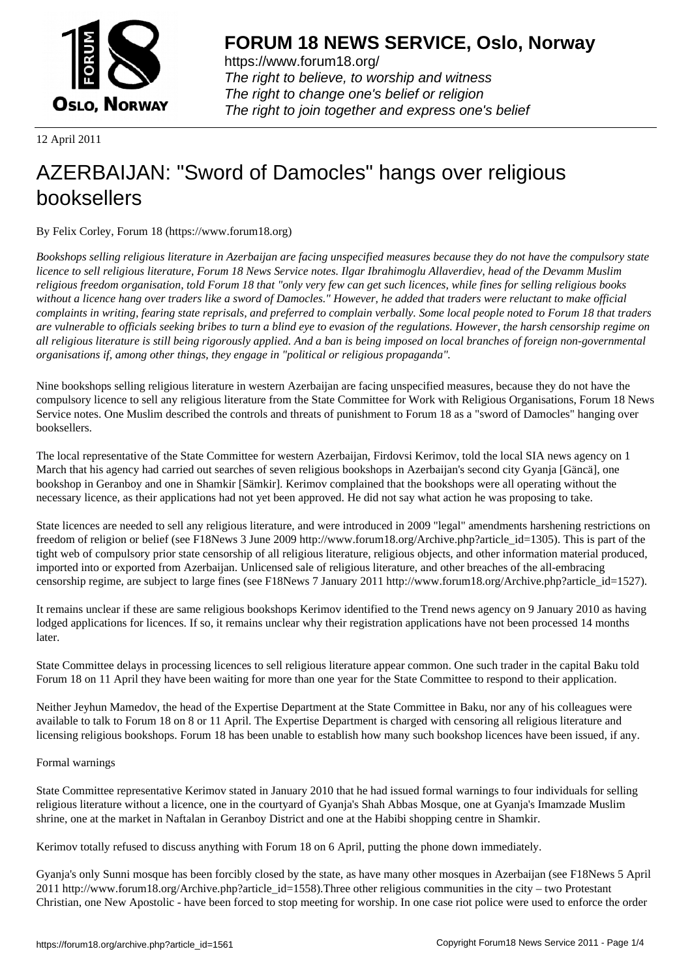

https://www.forum18.org/ The right to believe, to worship and witness The right to change one's belief or religion [The right to join together a](https://www.forum18.org/)nd express one's belief

12 April 2011

# [AZERBAIJAN: "](https://www.forum18.org)Sword of Damocles" hangs over religious booksellers

By Felix Corley, Forum 18 (https://www.forum18.org)

*Bookshops selling religious literature in Azerbaijan are facing unspecified measures because they do not have the compulsory state licence to sell religious literature, Forum 18 News Service notes. Ilgar Ibrahimoglu Allaverdiev, head of the Devamm Muslim religious freedom organisation, told Forum 18 that "only very few can get such licences, while fines for selling religious books without a licence hang over traders like a sword of Damocles." However, he added that traders were reluctant to make official complaints in writing, fearing state reprisals, and preferred to complain verbally. Some local people noted to Forum 18 that traders are vulnerable to officials seeking bribes to turn a blind eye to evasion of the regulations. However, the harsh censorship regime on all religious literature is still being rigorously applied. And a ban is being imposed on local branches of foreign non-governmental organisations if, among other things, they engage in "political or religious propaganda".*

Nine bookshops selling religious literature in western Azerbaijan are facing unspecified measures, because they do not have the compulsory licence to sell any religious literature from the State Committee for Work with Religious Organisations, Forum 18 News Service notes. One Muslim described the controls and threats of punishment to Forum 18 as a "sword of Damocles" hanging over booksellers.

The local representative of the State Committee for western Azerbaijan, Firdovsi Kerimov, told the local SIA news agency on 1 March that his agency had carried out searches of seven religious bookshops in Azerbaijan's second city Gyanja [Gäncä], one bookshop in Geranboy and one in Shamkir [Sämkir]. Kerimov complained that the bookshops were all operating without the necessary licence, as their applications had not yet been approved. He did not say what action he was proposing to take.

State licences are needed to sell any religious literature, and were introduced in 2009 "legal" amendments harshening restrictions on freedom of religion or belief (see F18News 3 June 2009 http://www.forum18.org/Archive.php?article\_id=1305). This is part of the tight web of compulsory prior state censorship of all religious literature, religious objects, and other information material produced, imported into or exported from Azerbaijan. Unlicensed sale of religious literature, and other breaches of the all-embracing censorship regime, are subject to large fines (see F18News 7 January 2011 http://www.forum18.org/Archive.php?article\_id=1527).

It remains unclear if these are same religious bookshops Kerimov identified to the Trend news agency on 9 January 2010 as having lodged applications for licences. If so, it remains unclear why their registration applications have not been processed 14 months later.

State Committee delays in processing licences to sell religious literature appear common. One such trader in the capital Baku told Forum 18 on 11 April they have been waiting for more than one year for the State Committee to respond to their application.

Neither Jeyhun Mamedov, the head of the Expertise Department at the State Committee in Baku, nor any of his colleagues were available to talk to Forum 18 on 8 or 11 April. The Expertise Department is charged with censoring all religious literature and licensing religious bookshops. Forum 18 has been unable to establish how many such bookshop licences have been issued, if any.

## Formal warnings

State Committee representative Kerimov stated in January 2010 that he had issued formal warnings to four individuals for selling religious literature without a licence, one in the courtyard of Gyanja's Shah Abbas Mosque, one at Gyanja's Imamzade Muslim shrine, one at the market in Naftalan in Geranboy District and one at the Habibi shopping centre in Shamkir.

Kerimov totally refused to discuss anything with Forum 18 on 6 April, putting the phone down immediately.

Gyanja's only Sunni mosque has been forcibly closed by the state, as have many other mosques in Azerbaijan (see F18News 5 April 2011 http://www.forum18.org/Archive.php?article\_id=1558).Three other religious communities in the city – two Protestant Christian, one New Apostolic - have been forced to stop meeting for worship. In one case riot police were used to enforce the order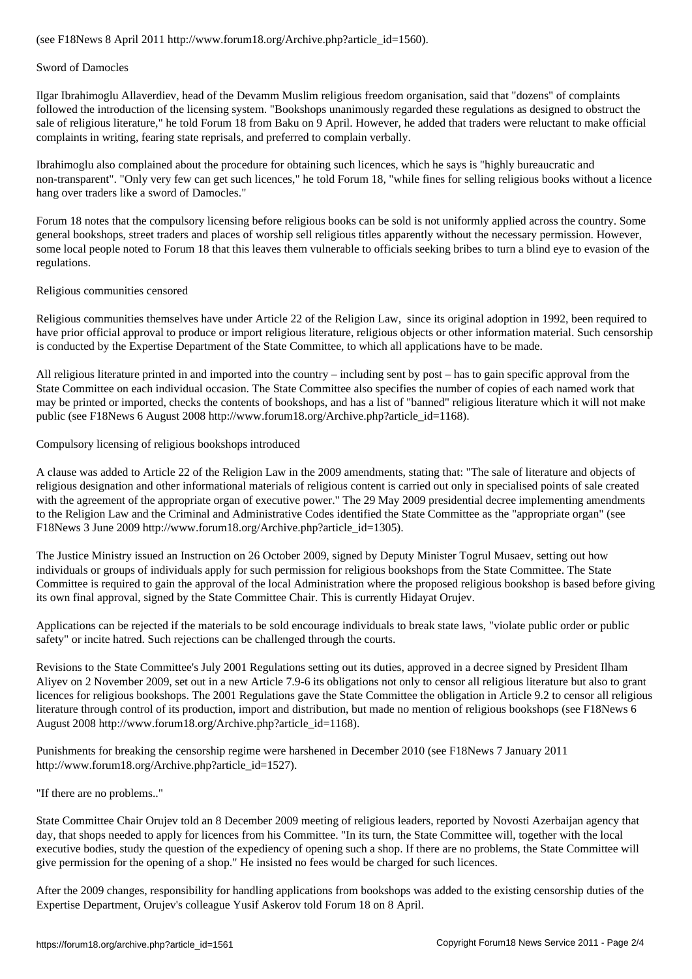#### Sword of Damocles

Ilgar Ibrahimoglu Allaverdiev, head of the Devamm Muslim religious freedom organisation, said that "dozens" of complaints followed the introduction of the licensing system. "Bookshops unanimously regarded these regulations as designed to obstruct the sale of religious literature," he told Forum 18 from Baku on 9 April. However, he added that traders were reluctant to make official complaints in writing, fearing state reprisals, and preferred to complain verbally.

Ibrahimoglu also complained about the procedure for obtaining such licences, which he says is "highly bureaucratic and non-transparent". "Only very few can get such licences," he told Forum 18, "while fines for selling religious books without a licence hang over traders like a sword of Damocles."

Forum 18 notes that the compulsory licensing before religious books can be sold is not uniformly applied across the country. Some general bookshops, street traders and places of worship sell religious titles apparently without the necessary permission. However, some local people noted to Forum 18 that this leaves them vulnerable to officials seeking bribes to turn a blind eye to evasion of the regulations.

## Religious communities censored

Religious communities themselves have under Article 22 of the Religion Law, since its original adoption in 1992, been required to have prior official approval to produce or import religious literature, religious objects or other information material. Such censorship is conducted by the Expertise Department of the State Committee, to which all applications have to be made.

All religious literature printed in and imported into the country – including sent by post – has to gain specific approval from the State Committee on each individual occasion. The State Committee also specifies the number of copies of each named work that may be printed or imported, checks the contents of bookshops, and has a list of "banned" religious literature which it will not make public (see F18News 6 August 2008 http://www.forum18.org/Archive.php?article\_id=1168).

## Compulsory licensing of religious bookshops introduced

A clause was added to Article 22 of the Religion Law in the 2009 amendments, stating that: "The sale of literature and objects of religious designation and other informational materials of religious content is carried out only in specialised points of sale created with the agreement of the appropriate organ of executive power." The 29 May 2009 presidential decree implementing amendments to the Religion Law and the Criminal and Administrative Codes identified the State Committee as the "appropriate organ" (see F18News 3 June 2009 http://www.forum18.org/Archive.php?article\_id=1305).

The Justice Ministry issued an Instruction on 26 October 2009, signed by Deputy Minister Togrul Musaev, setting out how individuals or groups of individuals apply for such permission for religious bookshops from the State Committee. The State Committee is required to gain the approval of the local Administration where the proposed religious bookshop is based before giving its own final approval, signed by the State Committee Chair. This is currently Hidayat Orujev.

Applications can be rejected if the materials to be sold encourage individuals to break state laws, "violate public order or public safety" or incite hatred. Such rejections can be challenged through the courts.

Revisions to the State Committee's July 2001 Regulations setting out its duties, approved in a decree signed by President Ilham Aliyev on 2 November 2009, set out in a new Article 7.9-6 its obligations not only to censor all religious literature but also to grant licences for religious bookshops. The 2001 Regulations gave the State Committee the obligation in Article 9.2 to censor all religious literature through control of its production, import and distribution, but made no mention of religious bookshops (see F18News 6 August 2008 http://www.forum18.org/Archive.php?article\_id=1168).

Punishments for breaking the censorship regime were harshened in December 2010 (see F18News 7 January 2011 http://www.forum18.org/Archive.php?article\_id=1527).

"If there are no problems.."

State Committee Chair Orujev told an 8 December 2009 meeting of religious leaders, reported by Novosti Azerbaijan agency that day, that shops needed to apply for licences from his Committee. "In its turn, the State Committee will, together with the local executive bodies, study the question of the expediency of opening such a shop. If there are no problems, the State Committee will give permission for the opening of a shop." He insisted no fees would be charged for such licences.

After the 2009 changes, responsibility for handling applications from bookshops was added to the existing censorship duties of the Expertise Department, Orujev's colleague Yusif Askerov told Forum 18 on 8 April.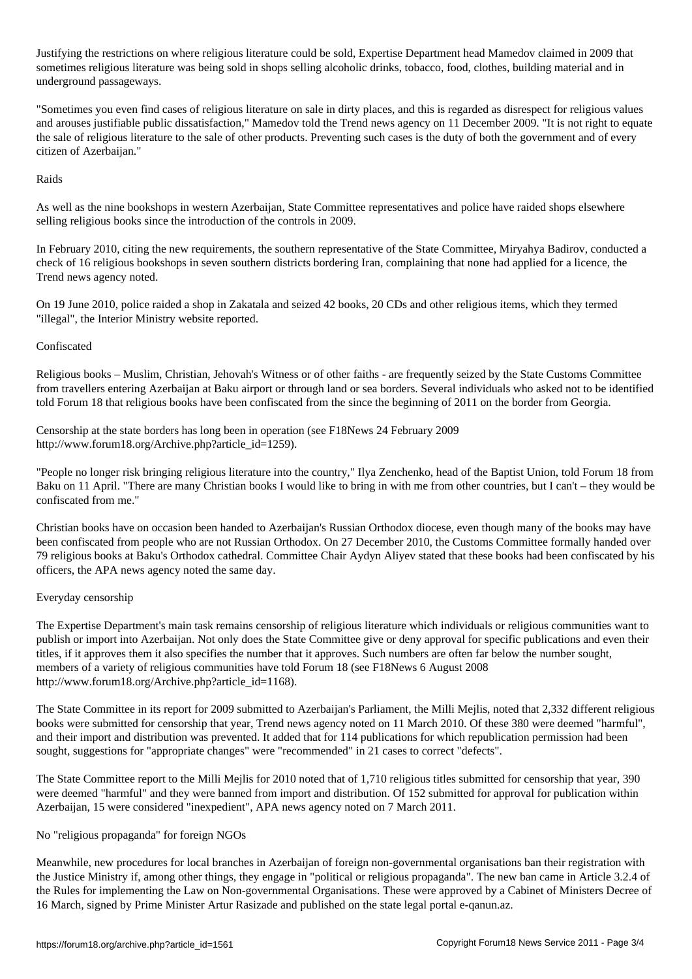Justifying the restrictions on where religious literature could be sold, Expertise Department head Mamedov claimed in 2009 that sometimes religious literature was being sold in shops selling alcoholic drinks, tobacco, food, clothes, building material and in underground passageways.

"Sometimes you even find cases of religious literature on sale in dirty places, and this is regarded as disrespect for religious values and arouses justifiable public dissatisfaction," Mamedov told the Trend news agency on 11 December 2009. "It is not right to equate the sale of religious literature to the sale of other products. Preventing such cases is the duty of both the government and of every citizen of Azerbaijan."

## Raids

As well as the nine bookshops in western Azerbaijan, State Committee representatives and police have raided shops elsewhere selling religious books since the introduction of the controls in 2009.

In February 2010, citing the new requirements, the southern representative of the State Committee, Miryahya Badirov, conducted a check of 16 religious bookshops in seven southern districts bordering Iran, complaining that none had applied for a licence, the Trend news agency noted.

On 19 June 2010, police raided a shop in Zakatala and seized 42 books, 20 CDs and other religious items, which they termed "illegal", the Interior Ministry website reported.

## Confiscated

Religious books – Muslim, Christian, Jehovah's Witness or of other faiths - are frequently seized by the State Customs Committee from travellers entering Azerbaijan at Baku airport or through land or sea borders. Several individuals who asked not to be identified told Forum 18 that religious books have been confiscated from the since the beginning of 2011 on the border from Georgia.

Censorship at the state borders has long been in operation (see F18News 24 February 2009 http://www.forum18.org/Archive.php?article\_id=1259).

"People no longer risk bringing religious literature into the country," Ilya Zenchenko, head of the Baptist Union, told Forum 18 from Baku on 11 April. "There are many Christian books I would like to bring in with me from other countries, but I can't – they would be confiscated from me."

Christian books have on occasion been handed to Azerbaijan's Russian Orthodox diocese, even though many of the books may have been confiscated from people who are not Russian Orthodox. On 27 December 2010, the Customs Committee formally handed over 79 religious books at Baku's Orthodox cathedral. Committee Chair Aydyn Aliyev stated that these books had been confiscated by his officers, the APA news agency noted the same day.

#### Everyday censorship

The Expertise Department's main task remains censorship of religious literature which individuals or religious communities want to publish or import into Azerbaijan. Not only does the State Committee give or deny approval for specific publications and even their titles, if it approves them it also specifies the number that it approves. Such numbers are often far below the number sought, members of a variety of religious communities have told Forum 18 (see F18News 6 August 2008 http://www.forum18.org/Archive.php?article\_id=1168).

The State Committee in its report for 2009 submitted to Azerbaijan's Parliament, the Milli Mejlis, noted that 2,332 different religious books were submitted for censorship that year, Trend news agency noted on 11 March 2010. Of these 380 were deemed "harmful", and their import and distribution was prevented. It added that for 114 publications for which republication permission had been sought, suggestions for "appropriate changes" were "recommended" in 21 cases to correct "defects".

The State Committee report to the Milli Mejlis for 2010 noted that of 1,710 religious titles submitted for censorship that year, 390 were deemed "harmful" and they were banned from import and distribution. Of 152 submitted for approval for publication within Azerbaijan, 15 were considered "inexpedient", APA news agency noted on 7 March 2011.

#### No "religious propaganda" for foreign NGOs

Meanwhile, new procedures for local branches in Azerbaijan of foreign non-governmental organisations ban their registration with the Justice Ministry if, among other things, they engage in "political or religious propaganda". The new ban came in Article 3.2.4 of the Rules for implementing the Law on Non-governmental Organisations. These were approved by a Cabinet of Ministers Decree of 16 March, signed by Prime Minister Artur Rasizade and published on the state legal portal e-qanun.az.